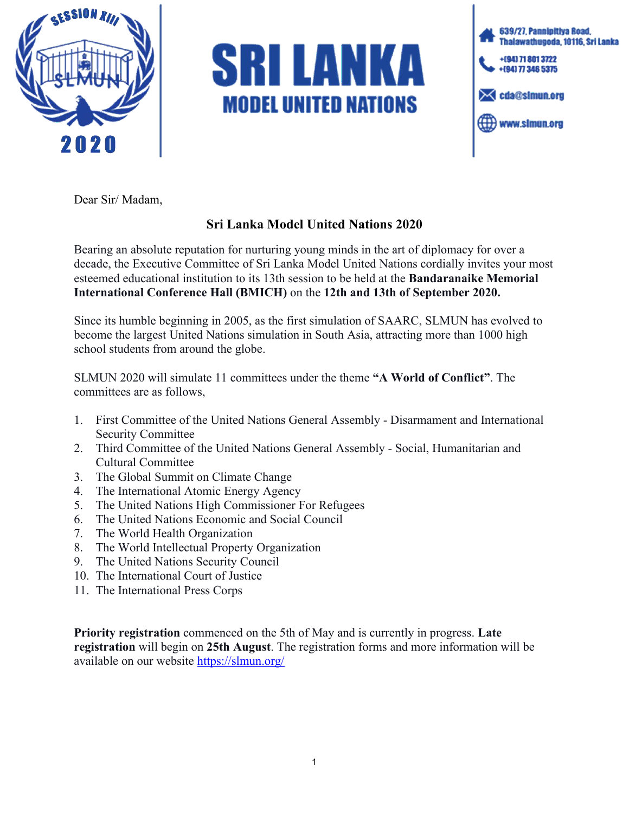

## SRI LANKA **MODEL UNITED NATIONS**



Dear Sir/ Madam,

## **Sri Lanka Model United Nations 2020**

Bearing an absolute reputation for nurturing young minds in the art of diplomacy for over a decade, the Executive Committee of Sri Lanka Model United Nations cordially invites your most esteemed educational institution to its 13th session to be held at the **Bandaranaike Memorial International Conference Hall (BMICH)** on the **12th and 13th of September 2020.**

Since its humble beginning in 2005, as the first simulation of SAARC, SLMUN has evolved to become the largest United Nations simulation in South Asia, attracting more than 1000 high school students from around the globe.

SLMUN 2020 will simulate 11 committees under the theme **"A World of Conflict"**. The committees are as follows,

- 1. First Committee of the United Nations General Assembly Disarmament and International Security Committee
- 2. Third Committee of the United Nations General Assembly Social, Humanitarian and Cultural Committee
- 3. The Global Summit on Climate Change
- 4. The International Atomic Energy Agency
- 5. The United Nations High Commissioner For Refugees
- 6. The United Nations Economic and Social Council
- 7. The World Health Organization
- 8. The World Intellectual Property Organization
- 9. The United Nations Security Council
- 10. The International Court of Justice
- 11. The International Press Corps

**Priority registration** commenced on the 5th of May and is currently in progress. **Late registration** will begin on **25th August**. The registration forms and more information will be available on our website <https://slmun.org/>